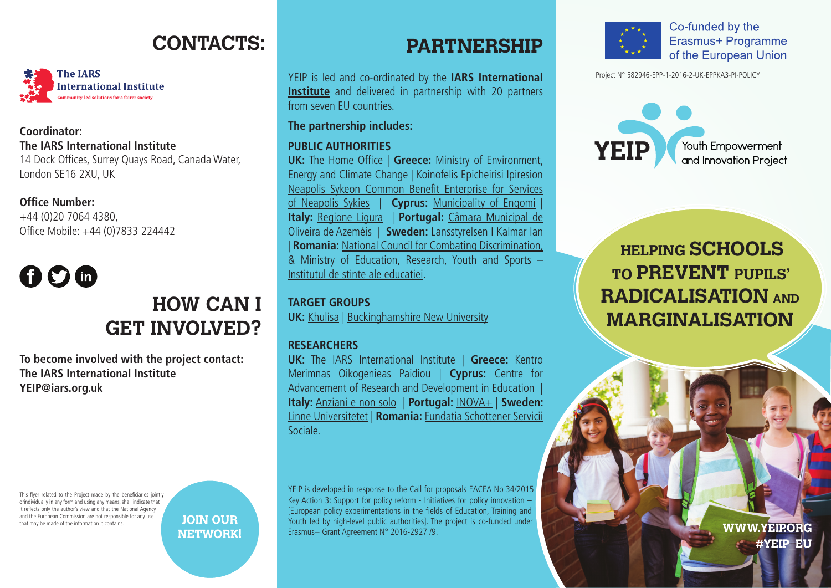### **CONTACTS:**



### **Coordinator: The IARS International Institute**

14 Dock Offices, Surrey Quays Road, Canada Water, London SE16 2XU, UK

#### **Office Number:**

+44 (0)20 7064 4380, Office Mobile: +44 (0)7833 224442

# **000**

### **HOW CAN I GET INVOLVED?**

**To become involved with the project contact: The IARS International Institute YEIP@iars.org.uk** 

This flyer related to the Project made by the beneficiaries jointly orindividually in any form and using any means, shall indicate that it reflects only the author's view and that the National Agency and the European Commission are not responsible for any use that may be made of the information it contains.



### **PARTNERSHIP**

YEIP is led and co-ordinated by the **IARS International Institute** and delivered in partnership with 20 partners from seven EU countries.

#### **The partnership includes:**

#### **PUBLIC AUTHORITIES**

**UK:** The Home Office | **Greece:** Ministry of Environment, Energy and Climate Change | Koinofelis Epicheirisi Ipiresion Neapolis Sykeon Common Benefit Enterprise for Services of Neapolis Sykies | **Cyprus:** Municipality of Engomi | **Italy:** Regione Ligura | **Portugal:** Câmara Municipal de Oliveira de Azeméis | **Sweden:** Lansstyrelsen I Kalmar Ian | **Romania:** National Council for Combating Discrimination, & Ministry of Education, Research, Youth and Sports – Institutul de stinte ale educatiei.

**TARGET GROUPS UK:** Khulisa | Buckinghamshire New University

#### **RESEARCHERS**

**UK:** The IARS International Institute | **Greece:** Kentro Merimnas Oikogenieas Paidiou | **Cyprus:** Centre for Advancement of Research and Development in Education | **Italy:** Anziani e non solo | **Portugal:** INOVA+ | **Sweden:**  Linne Universitetet | **Romania:** Fundatia Schottener Servicii Sociale.

YEIP is developed in response to the Call for proposals EACEA No 34/2015 Key Action 3: Support for policy reform - Initiatives for policy innovation – [European policy experimentations in the fields of Education, Training and Youth led by high-level public authorities]. The project is co-funded under Erasmus+ Grant Agreement N° 2016-2927 /9.



Co-funded by the Erasmus+ Programme of the European Union

Project N° 582946-EPP-1-2016-2-UK-EPPKA3-PI-POLICY



 **HELPING SCHOOLS TO PREVENT PUPILS' RADICALISATION AND MARGINALISATION**

> **WWW.YEIPORG** #YEIP EU